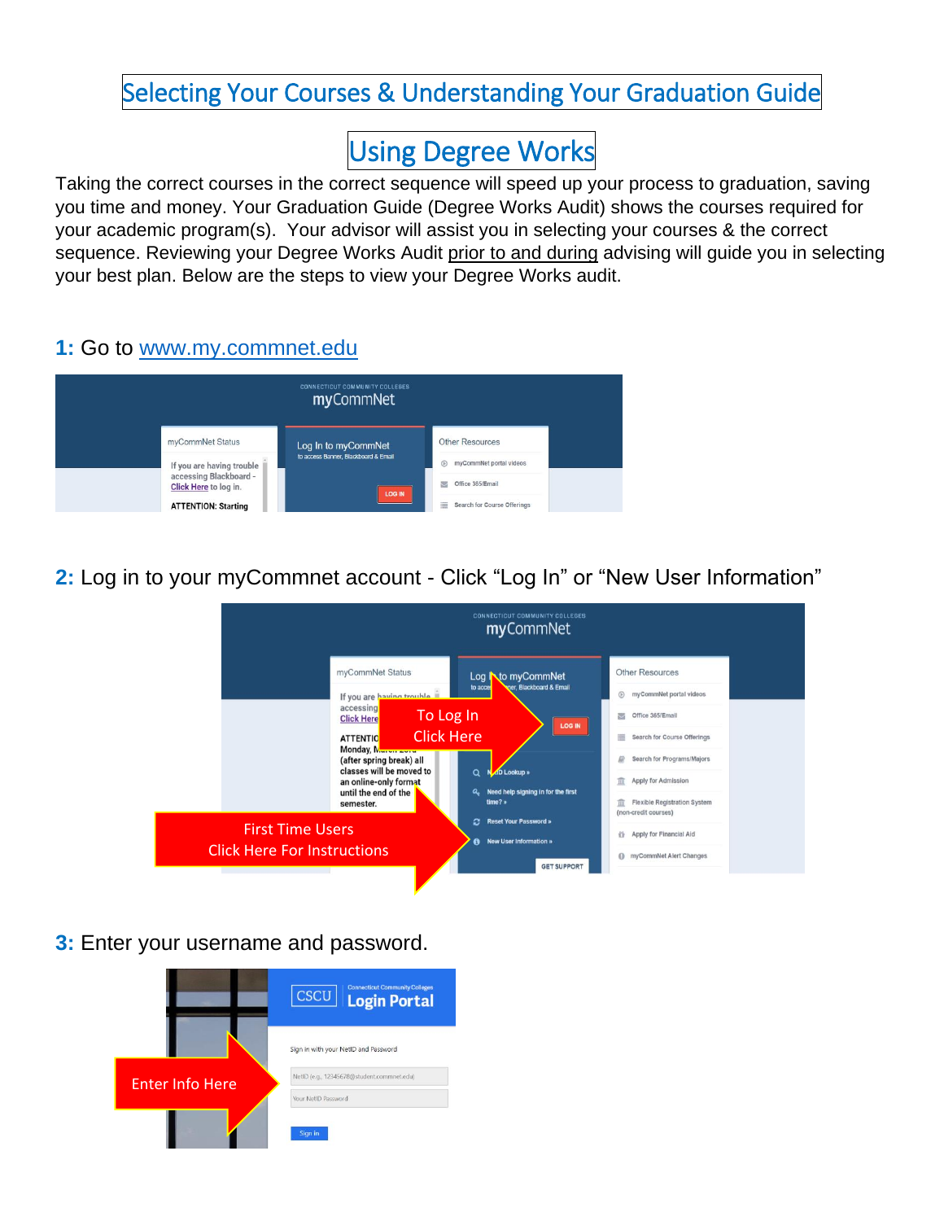## Selecting Your Courses & Understanding Your Graduation Guide

# Using Degree Works

Taking the correct courses in the correct sequence will speed up your process to graduation, saving you time and money. Your Graduation Guide (Degree Works Audit) shows the courses required for your academic program(s). Your advisor will assist you in selecting your courses & the correct sequence. Reviewing your Degree Works Audit prior to and during advising will guide you in selecting your best plan. Below are the steps to view your Degree Works audit.

#### **1:** Go to [www.my.commnet.edu](http://www.my.commnet.edu/)



**2:** Log in to your myCommnet account - Click "Log In" or "New User Information"



#### **3:** Enter your username and password.